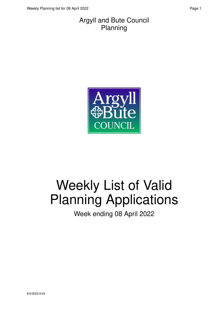#### Argyll and Bute Council Planning



# Weekly List of Valid Planning Applications

Week ending 08 April 2022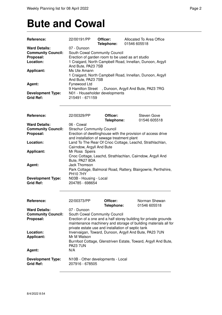### **Bute and Cowal**

| Reference:                | 22/00191/PP                                                                       | Officer:<br>Telephone: | Allocated To Area Office<br>01546 605518                         |  |  |
|---------------------------|-----------------------------------------------------------------------------------|------------------------|------------------------------------------------------------------|--|--|
| <b>Ward Details:</b>      | 07 - Dunoon                                                                       |                        |                                                                  |  |  |
| <b>Community Council:</b> | South Cowal Community Council<br>Erection of garden room to be used as art studio |                        |                                                                  |  |  |
| Proposal:                 |                                                                                   |                        |                                                                  |  |  |
| Location:                 |                                                                                   |                        | 1 Craigard, North Campbell Road, Innellan, Dunoon, Argyll        |  |  |
|                           | And Bute, PA23 7SB                                                                |                        |                                                                  |  |  |
| <b>Applicant:</b>         | Ms Ute Amann                                                                      |                        |                                                                  |  |  |
|                           |                                                                                   |                        |                                                                  |  |  |
|                           | 1 Craigard, North Campbell Road, Innellan, Dunoon, Argyll<br>And Bute, PA23 7SB   |                        |                                                                  |  |  |
|                           |                                                                                   |                        |                                                                  |  |  |
| Agent:                    | Fynewood Ltd                                                                      |                        |                                                                  |  |  |
|                           |                                                                                   |                        | 9 Hamilton Street, Dunoon, Argyll And Bute, PA23 7RG             |  |  |
| <b>Development Type:</b>  | N01 - Householder developments                                                    |                        |                                                                  |  |  |
| <b>Grid Ref:</b>          | 215491 - 671159                                                                   |                        |                                                                  |  |  |
|                           |                                                                                   |                        |                                                                  |  |  |
|                           |                                                                                   |                        |                                                                  |  |  |
| <b>Reference:</b>         | 22/00329/PP                                                                       | Officer:               | Steven Gove                                                      |  |  |
|                           |                                                                                   | Telephone:             | 01546 605518                                                     |  |  |
| <b>Ward Details:</b>      | 06 - Cowal                                                                        |                        |                                                                  |  |  |
| <b>Community Council:</b> | <b>Strachur Community Council</b>                                                 |                        |                                                                  |  |  |
| Proposal:                 |                                                                                   |                        | Erection of dwellinghouse with the provision of access drive     |  |  |
|                           | and installation of sewage treatment plant                                        |                        |                                                                  |  |  |
| Location:                 |                                                                                   |                        | Land To The Rear Of Cnoc Cottage, Leachd, Strathlachlan,         |  |  |
|                           | Cairndow, Argyll And Bute                                                         |                        |                                                                  |  |  |
| <b>Applicant:</b>         | Mr Ross Speirs                                                                    |                        |                                                                  |  |  |
|                           |                                                                                   |                        | Cnoc Cottage, Leachd, Strathlachlan, Cairndow, Argyll And        |  |  |
|                           | Bute, PA27 8DA                                                                    |                        |                                                                  |  |  |
|                           | <b>Jack Thomson</b>                                                               |                        |                                                                  |  |  |
| Agent:                    |                                                                                   |                        |                                                                  |  |  |
|                           |                                                                                   |                        | Park Cottage, Balmoral Road, Rattery, Blairgowrie, Perthshire,   |  |  |
|                           | <b>PH107HY</b>                                                                    |                        |                                                                  |  |  |
| <b>Development Type:</b>  | N03B - Housing - Local                                                            |                        |                                                                  |  |  |
| <b>Grid Ref:</b>          | 204785 - 698654                                                                   |                        |                                                                  |  |  |
|                           |                                                                                   |                        |                                                                  |  |  |
| Reference:                | 22/00373/PP                                                                       | Officer:               | Norman Shewan                                                    |  |  |
|                           |                                                                                   | Telephone:             | 01546 605518                                                     |  |  |
| <b>Ward Details:</b>      | 07 - Dunoon                                                                       |                        |                                                                  |  |  |
| <b>Community Council:</b> | South Cowal Community Council                                                     |                        |                                                                  |  |  |
| Proposal:                 |                                                                                   |                        | Erection of a one and a half storey building for private grounds |  |  |
|                           |                                                                                   |                        | maintenance machinery and storage of building materials all for  |  |  |
|                           | private estate use and installation of septic tank                                |                        |                                                                  |  |  |
|                           |                                                                                   |                        |                                                                  |  |  |
| Location:                 | Mr M Watson                                                                       |                        | Invervaigan, Toward, Dunoon, Argyll And Bute, PA23 7UN           |  |  |
| Applicant:                |                                                                                   |                        |                                                                  |  |  |
|                           |                                                                                   |                        | Burnfoot Cottage, Glenstriven Estate, Toward, Argyll And Bute,   |  |  |
|                           | <b>PA23 7UN</b>                                                                   |                        |                                                                  |  |  |
| Agent:                    | N/A                                                                               |                        |                                                                  |  |  |
|                           |                                                                                   |                        |                                                                  |  |  |
| <b>Development Type:</b>  | N10B - Other developments - Local                                                 |                        |                                                                  |  |  |
| <b>Grid Ref:</b>          | 207916 - 678505                                                                   |                        |                                                                  |  |  |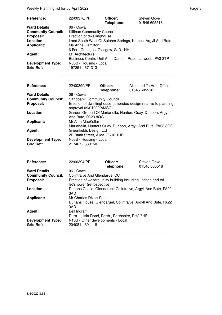Weekly Planning list for 08 April 2022 **Page 3** Page 3

| Reference:                                   | 22/00376/PP                                                | Officer:<br>Telephone: | Steven Gove<br>01546 605518       |
|----------------------------------------------|------------------------------------------------------------|------------------------|-----------------------------------|
| <b>Ward Details:</b>                         | 06 - Cowal                                                 |                        |                                   |
| <b>Community Council:</b>                    | Kilfinan Community Council                                 |                        |                                   |
| Proposal:                                    | Erection of dwellinghouse                                  |                        |                                   |
| Location:                                    | Land South West Of Sulpher Springs, Kames, Argyll And Bute |                        |                                   |
| <b>Applicant:</b>                            | Ms Anne Hamilton                                           |                        |                                   |
|                                              | 6 Fern Cottages, Glasgow, G13 1NH                          |                        |                                   |
| Agent:                                       | <b>LH Architecture</b>                                     |                        |                                   |
|                                              | <b>Business Centre Unit A</b>                              |                        | , Darluith Road, Linwood, PA3 3TP |
| <b>Development Type:</b><br><b>Grid Ref:</b> | N03B - Housing - Local<br>197251 - 671313                  |                        |                                   |

| Reference:                                   | 22/00390/PP                                               | Officer:<br>Telephone: | Allocated To Area Office<br>01546 605518                       |
|----------------------------------------------|-----------------------------------------------------------|------------------------|----------------------------------------------------------------|
| <b>Ward Details:</b>                         | 06 - Cowal                                                |                        |                                                                |
| <b>Community Council:</b>                    | <b>Sandbank Community Council</b>                         |                        |                                                                |
| Proposal:                                    | approval 09/01202/AMSC)                                   |                        | Erection of dwellinghouse (amended design relative to planning |
| Location:                                    | And Bute, PA23 8QG                                        |                        | Garden Ground Of Marianella, Hunters Quay, Dunoon, Argyll      |
| <b>Applicant:</b>                            | Mr Alan MacKellar                                         |                        | Marianella, Hunters Quay, Dunoon, Argyll And Bute, PA23 8QG    |
| Agent:                                       | Greenfields Design Ltd<br>2B Bank Street, Alloa, FK10 1HP |                        |                                                                |
| <b>Development Type:</b><br><b>Grid Ref:</b> | N03B - Housing - Local<br>217467 - 680150                 |                        |                                                                |

| Reference:                                   | 22/00394/PP                                                                                   | Officer:<br>Telephone: | <b>Steven Gove</b><br>01546 605518 |
|----------------------------------------------|-----------------------------------------------------------------------------------------------|------------------------|------------------------------------|
| <b>Ward Details:</b>                         | 06 - Cowal                                                                                    |                        |                                    |
| <b>Community Council:</b>                    | Colintraive And Glendaruel CC                                                                 |                        |                                    |
| Proposal:                                    | Erection of welfare utility building including kitchen and toi-<br>let/shower (retrospective) |                        |                                    |
| Location:                                    | Dunans Castle, Glendaruel, Colintraive, Argyll And Bute, PA22<br>3AD                          |                        |                                    |
| <b>Applicant:</b>                            | Mr Charles Dixon-Spain<br>Dunans House, Glendaruel, Colintraive, Argyll And Bute, PA22<br>3AD |                        |                                    |
| Agent:                                       | Bell Ingram<br>Durn, Isla Road, Perth, Perthshire, PH2 7HF                                    |                        |                                    |
| <b>Development Type:</b><br><b>Grid Ref:</b> | N10B - Other developments - Local<br>204081 - 691118                                          |                        |                                    |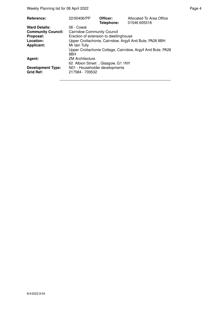| Reference:                                   | 22/00406/PP                                       | Officer:<br>Telephone: | Allocated To Area Office<br>01546 605518                    |  |
|----------------------------------------------|---------------------------------------------------|------------------------|-------------------------------------------------------------|--|
| <b>Ward Details:</b>                         | 06 - Cowal                                        |                        |                                                             |  |
| <b>Community Council:</b>                    | <b>Cairndow Community Council</b>                 |                        |                                                             |  |
| Proposal:                                    | Erection of extension to dwellinghouse            |                        |                                                             |  |
| Location:                                    |                                                   |                        | Upper Croitachonie, Cairndow, Argyll And Bute, PA26 8BH     |  |
| <b>Applicant:</b>                            | Mr Iain Tully                                     |                        |                                                             |  |
|                                              | 8BH                                               |                        | Upper Croitachonie Cottage, Cairndow, Argyll And Bute, PA26 |  |
| Agent:                                       | <b>ZM Architecture</b>                            |                        |                                                             |  |
|                                              | 62 Albion Street, Glasgow, G1 1NY                 |                        |                                                             |  |
| <b>Development Type:</b><br><b>Grid Ref:</b> | N01 - Householder developments<br>217584 - 709532 |                        |                                                             |  |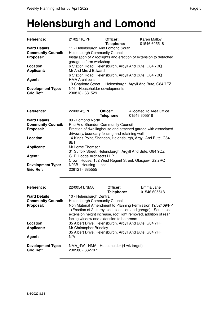#### **Helensburgh and Lomond**

| <b>Reference:</b>                                                           | 21/02716/PP                                                                                                                                                                                                                                                                                             | Officer:<br>Telephone: | Karen Malloy<br>01546 605518                                                                                     |  |  |
|-----------------------------------------------------------------------------|---------------------------------------------------------------------------------------------------------------------------------------------------------------------------------------------------------------------------------------------------------------------------------------------------------|------------------------|------------------------------------------------------------------------------------------------------------------|--|--|
| <b>Ward Details:</b><br><b>Community Council:</b><br>Proposal:<br>Location: | 11 - Helensburgh And Lomond South<br><b>Helensburgh Community Council</b><br>Installation of 2 rooflights and erection of extension to detached<br>garage to form workshop<br>6 Station Road, Helensburgh, Argyll And Bute, G84 7BQ                                                                     |                        |                                                                                                                  |  |  |
| Applicant:                                                                  | Mr And Mrs J Edward                                                                                                                                                                                                                                                                                     |                        | 6 Station Road, Helensburgh, Argyll And Bute, G84 7BQ                                                            |  |  |
| Agent:                                                                      | <b>HMA Architects</b>                                                                                                                                                                                                                                                                                   |                        | 19 Charlotte Street, Helensburgh, Argyll And Bute, G84 7EZ                                                       |  |  |
| <b>Development Type:</b><br><b>Grid Ref:</b>                                | N01 - Householder developments<br>230813 - 681529                                                                                                                                                                                                                                                       |                        |                                                                                                                  |  |  |
| Reference:                                                                  | 22/00245/PP                                                                                                                                                                                                                                                                                             | Officer:<br>Telephone: | Allocated To Area Office<br>01546 605518                                                                         |  |  |
| <b>Ward Details:</b><br><b>Community Council:</b>                           | 09 - Lomond North<br>Rhu And Shandon Community Council                                                                                                                                                                                                                                                  |                        |                                                                                                                  |  |  |
| Proposal:                                                                   |                                                                                                                                                                                                                                                                                                         |                        | Erection of dwellinghouse and attached garage with associated                                                    |  |  |
| Location:                                                                   | driveway, boundary fencing and retaining wall                                                                                                                                                                                                                                                           |                        | 14 Kings Point, Shandon, Helensburgh, Argyll And Bute, G84                                                       |  |  |
|                                                                             | 8BT                                                                                                                                                                                                                                                                                                     |                        |                                                                                                                  |  |  |
| <b>Applicant:</b>                                                           | Mr Lorne Thomson                                                                                                                                                                                                                                                                                        |                        |                                                                                                                  |  |  |
| Agent:                                                                      | G. D. Lodge Architects LLP                                                                                                                                                                                                                                                                              |                        | 31 Suffolk Street, Helensburgh, Argyll And Bute, G84 9QZ                                                         |  |  |
|                                                                             |                                                                                                                                                                                                                                                                                                         |                        | Crown House, 152 West Regent Street, Glasgow, G2 2RQ                                                             |  |  |
| <b>Development Type:</b><br><b>Grid Ref:</b>                                | N03B - Housing - Local<br>226121 - 685555                                                                                                                                                                                                                                                               |                        |                                                                                                                  |  |  |
| <b>Reference:</b>                                                           | 22/00541/NMA                                                                                                                                                                                                                                                                                            | Officer:<br>Telephone: | Emma Jane<br>01546 605518                                                                                        |  |  |
| <b>Ward Details:</b><br><b>Community Council:</b><br>Proposal:              | 10 - Helensburgh Central<br>Helensburgh Community Council<br>Non Material Amendment to Planning Permission 19/02409/PP<br>- (Erection of 2-storey side extension and garage) - South side<br>extension height increase, roof light removed, addition of rear<br>facing window and extension to bathroom |                        |                                                                                                                  |  |  |
| Location:<br><b>Applicant:</b><br>Agent:                                    | Mr Christopher Brindley<br>N/A                                                                                                                                                                                                                                                                          |                        | 35 Albert Drive, Helensburgh, Argyll And Bute, G84 7HF<br>35 Albert Drive, Helensburgh, Argyll And Bute, G84 7HF |  |  |
|                                                                             |                                                                                                                                                                                                                                                                                                         |                        |                                                                                                                  |  |  |
| <b>Development Type:</b><br><b>Grid Ref:</b>                                | NMA_4W - NMA - Householder (4 wk target)<br>230580 - 682707                                                                                                                                                                                                                                             |                        |                                                                                                                  |  |  |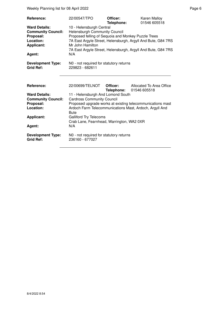Weekly Planning list for 08 April 2022 **Page 6** April 2022 **Page 6** April 2022 **Page 6** April 2022

| Reference:<br><b>Ward Details:</b><br><b>Community Council:</b><br>Proposal:<br>Location:<br><b>Applicant:</b><br>Agent: | 22/00547/TPO<br>10 - Helensburgh Central<br><b>Helensburgh Community Council</b><br>Proposed felling of Sequoia and Monkey Puzzle Trees<br>Mr John Hamilton<br>N/A                            | Officer:<br>Telephone: | <b>Karen Malloy</b><br>01546 605518<br>7A East Argyle Street, Helensburgh, Argyll And Bute, G84 7RS<br>7A East Argyle Street, Helensburgh, Argyll And Bute, G84 7RS |
|--------------------------------------------------------------------------------------------------------------------------|-----------------------------------------------------------------------------------------------------------------------------------------------------------------------------------------------|------------------------|---------------------------------------------------------------------------------------------------------------------------------------------------------------------|
| <b>Development Type:</b><br><b>Grid Ref:</b>                                                                             | N0 - not required for statutory returns<br>229823 - 682611                                                                                                                                    |                        |                                                                                                                                                                     |
| Reference:<br><b>Ward Details:</b><br><b>Community Council:</b><br>Proposal:<br>Location:<br><b>Applicant:</b><br>Agent: | 22/00699/TELNOT<br>11 - Helensburgh And Lomond South<br><b>Cardross Community Council</b><br><b>Bute</b><br><b>Galliford Try Telecoms</b><br>Crab Lane, Fearnhead, Warrington, WA2 0XR<br>N/A | Officer:<br>Telephone: | Allocated To Area Office<br>01546 605518<br>Proposed upgrade works at existing telecommunications mast<br>Ardoch Farm Telecommunications Mast, Ardoch, Argyll And   |
| <b>Development Type:</b><br><b>Grid Ref:</b>                                                                             | NO - not required for statutory returns<br>236160 - 677027                                                                                                                                    |                        |                                                                                                                                                                     |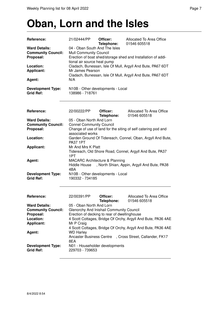#### **Oban, Lorn and the Isles**

| Reference:<br><b>Ward Details:</b>                | 21/02444/PP                                                                                                                                                                                                                                                                                            | Officer:<br>Telephone: | Allocated To Area Office<br>01546 605518                      |  |  |
|---------------------------------------------------|--------------------------------------------------------------------------------------------------------------------------------------------------------------------------------------------------------------------------------------------------------------------------------------------------------|------------------------|---------------------------------------------------------------|--|--|
| <b>Community Council:</b><br>Proposal:            | 04 - Oban South And The Isles<br>Mull Community Council<br>Erection of boat shed/storage shed and Installation of addi-<br>tional air source heat pump<br>Cladach, Bunessan, Isle Of Mull, Argyll And Bute, PA67 6DT<br>Mr James Pearson<br>Cladach, Bunessan, Isle Of Mull, Argyll And Bute, PA67 6DT |                        |                                                               |  |  |
| Location:<br>Applicant:                           |                                                                                                                                                                                                                                                                                                        |                        |                                                               |  |  |
| Agent:                                            | N/A                                                                                                                                                                                                                                                                                                    |                        |                                                               |  |  |
| <b>Development Type:</b><br><b>Grid Ref:</b>      | N10B - Other developments - Local<br>138986 - 718761                                                                                                                                                                                                                                                   |                        |                                                               |  |  |
| Reference:                                        | 22/00222/PP                                                                                                                                                                                                                                                                                            | Officer:<br>Telephone: | Allocated To Area Office<br>01546 605518                      |  |  |
| <b>Ward Details:</b>                              | 05 - Oban North And Lorn                                                                                                                                                                                                                                                                               |                        |                                                               |  |  |
| <b>Community Council:</b>                         | <b>Connel Community Council</b>                                                                                                                                                                                                                                                                        |                        |                                                               |  |  |
| Proposal:                                         | associated works                                                                                                                                                                                                                                                                                       |                        | Change of use of land for the siting of self catering pod and |  |  |
| Location:                                         | <b>PA37 1PT</b>                                                                                                                                                                                                                                                                                        |                        | Garden Ground Of Tidereach, Connel, Oban, Argyll And Bute,    |  |  |
| <b>Applicant:</b>                                 | Mr And Mrs K Platt<br>1PT                                                                                                                                                                                                                                                                              |                        | Tidereach, Old Shore Road, Connel, Argyll And Bute, PA37      |  |  |
| Agent:                                            | MACARC Architecture & Planning<br><b>Hiddle House</b><br>, North Shian, Appin, Argyll And Bute, PA38<br>4BA                                                                                                                                                                                            |                        |                                                               |  |  |
| <b>Development Type:</b><br><b>Grid Ref:</b>      | N10B - Other developments - Local<br>190332 - 734185                                                                                                                                                                                                                                                   |                        |                                                               |  |  |
| Reference:                                        | 22/00391/PP                                                                                                                                                                                                                                                                                            | Officer:               | Allocated To Area Office                                      |  |  |
|                                                   |                                                                                                                                                                                                                                                                                                        | Telephone:             | 01546 605518                                                  |  |  |
| <b>Ward Details:</b><br><b>Community Council:</b> | 05 - Oban North And Lorn                                                                                                                                                                                                                                                                               |                        |                                                               |  |  |
| Proposal:                                         | Glenorchy And Inishail Community Council<br>Erection of decking to rear of dwellinghouse                                                                                                                                                                                                               |                        |                                                               |  |  |
| Location:                                         |                                                                                                                                                                                                                                                                                                        |                        | 4 Scott Cottages, Bridge Of Orchy, Argyll And Bute, PA36 4AE  |  |  |
| <b>Applicant:</b>                                 | Mr P Craig                                                                                                                                                                                                                                                                                             |                        |                                                               |  |  |
|                                                   |                                                                                                                                                                                                                                                                                                        |                        | 4 Scott Cottages, Bridge Of Orchy, Argyll And Bute, PA36 4AE  |  |  |
| Agent:                                            | <b>WD Harley</b><br><b>Ancaster Business Centre</b>                                                                                                                                                                                                                                                    |                        | , Cross Street, Callander, FK17                               |  |  |
|                                                   | 8EA                                                                                                                                                                                                                                                                                                    |                        |                                                               |  |  |

**Development Type:** N01 - Householder developments<br>
Grid Ref: 229703 - 739653

**Grid Ref:** 229703 - 739653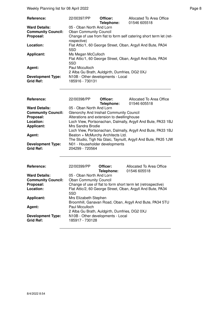| <b>Reference:</b>         | 22/00397/PP                                                                       | Officer:<br>Telephone: | Allocated To Area Office<br>01546 605518                    |  |
|---------------------------|-----------------------------------------------------------------------------------|------------------------|-------------------------------------------------------------|--|
| <b>Ward Details:</b>      | 05 - Oban North And Lorn                                                          |                        |                                                             |  |
| <b>Community Council:</b> | <b>Oban Community Council</b>                                                     |                        |                                                             |  |
| Proposal:                 | Change of use from flat to form self catering short term let (ret-<br>rospective) |                        |                                                             |  |
| Location:                 | Flat Attic/1, 60 George Street, Oban, Argyll And Bute, PA34<br>5SD                |                        |                                                             |  |
| <b>Applicant:</b>         | Ms Megan McCulloch                                                                |                        |                                                             |  |
|                           | 5SD                                                                               |                        | Flat Attic/1, 60 George Street, Oban, Argyll And Bute, PA34 |  |
| Agent:                    | Paul Mcculloch                                                                    |                        |                                                             |  |
|                           | 2 Alba Gu Brath, Auldgirth, Dumfries, DG2 0XJ                                     |                        |                                                             |  |
| <b>Development Type:</b>  | N10B - Other developments - Local                                                 |                        |                                                             |  |
| <b>Grid Ref:</b>          | 185916 - 730131                                                                   |                        |                                                             |  |

| Reference:                | 22/00398/PP                                                  | Officer:   | Allocated To Area Office                                       |
|---------------------------|--------------------------------------------------------------|------------|----------------------------------------------------------------|
|                           |                                                              | Telephone: | 01546 605518                                                   |
| <b>Ward Details:</b>      | 05 - Oban North And Lorn                                     |            |                                                                |
| <b>Community Council:</b> | Glenorchy And Inishail Community Council                     |            |                                                                |
| Proposal:                 | Alterations and extension to dwellinghouse                   |            |                                                                |
| Location:                 | Loch View, Portsonachan, Dalmally, Argyll And Bute, PA33 1BJ |            |                                                                |
| <b>Applicant:</b>         | Mrs Sandra Brodie                                            |            |                                                                |
|                           |                                                              |            | Loch View, Portsonachan, Dalmally, Argyll And Bute, PA33 1BJ   |
| Agent:                    | Beaton + McMurchy Architects Ltd.                            |            |                                                                |
|                           |                                                              |            | The Studio, Tigh Na Glaic, Taynuilt, Argyll And Bute, PA35 1JW |
| <b>Development Type:</b>  | N01 - Householder developments                               |            |                                                                |
| <b>Grid Ref:</b>          | 204299 - 720564                                              |            |                                                                |

| <b>Reference:</b>                            | 22/00399/PP                                                     | Officer:<br>Telephone: | Allocated To Area Office<br>01546 605518                     |  |  |
|----------------------------------------------|-----------------------------------------------------------------|------------------------|--------------------------------------------------------------|--|--|
| <b>Ward Details:</b>                         | 05 - Oban North And Lorn                                        |                        |                                                              |  |  |
| <b>Community Council:</b>                    | <b>Oban Community Council</b>                                   |                        |                                                              |  |  |
| Proposal:                                    |                                                                 |                        | Change of use of flat to form short term let (retrospective) |  |  |
| Location:                                    | 5SD                                                             |                        | Flat Attic/2, 60 George Street, Oban, Argyll And Bute, PA34  |  |  |
| <b>Applicant:</b>                            | Mrs Elizabeth Stephen                                           |                        | Broomhill, Ganavan Road, Oban, Argyll And Bute, PA34 5TU     |  |  |
| Agent:                                       | Paul Mcculloch<br>2 Alba Gu Brath, Auldgirth, Dumfries, DG2 0XJ |                        |                                                              |  |  |
| <b>Development Type:</b><br><b>Grid Ref:</b> | N10B - Other developments - Local<br>185917 - 730128            |                        |                                                              |  |  |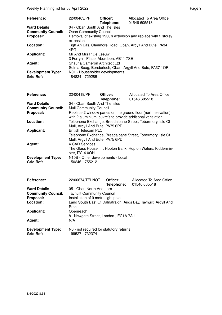| <b>Reference:</b>         | 22/00403/PP                                                                 | Officer:<br>Telephone: | Allocated To Area Office<br>01546 605518 |  |
|---------------------------|-----------------------------------------------------------------------------|------------------------|------------------------------------------|--|
| <b>Ward Details:</b>      | 04 - Oban South And The Isles                                               |                        |                                          |  |
| <b>Community Council:</b> | <b>Oban Community Council</b>                                               |                        |                                          |  |
| Proposal:                 | Removal of existing 1930's extension and replace with 2 storey<br>extension |                        |                                          |  |
| Location:                 | Tigh An Eas, Glenmore Road, Oban, Argyll And Bute, PA34<br>4PG              |                        |                                          |  |
| Applicant:                | Mr And Mrs P De Leeuw                                                       |                        |                                          |  |
|                           | 3 Ferryhill Place, Aberdeen, AB11 7SE                                       |                        |                                          |  |
| Agent:                    | Shauna Cameron Architect Ltd                                                |                        |                                          |  |
|                           | Selma Beag, Benderloch, Oban, Argyll And Bute, PA37 1QP                     |                        |                                          |  |
| <b>Development Type:</b>  | N01 - Householder developments                                              |                        |                                          |  |
| <b>Grid Ref:</b>          | 184824 - 729285                                                             |                        |                                          |  |

| Reference:<br><b>Ward Details:</b>           | 22/00419/PP<br>04 - Oban South And The Isles                  | Officer:<br>Telephone:        | Allocated To Area Office<br>01546 605518                                                                                    |
|----------------------------------------------|---------------------------------------------------------------|-------------------------------|-----------------------------------------------------------------------------------------------------------------------------|
| <b>Community Council:</b><br>Proposal:       | <b>Mull Community Council</b>                                 |                               | Replace 2 window panes on the ground floor (north elevation)<br>with 2 aluminium louvre's to provide additional ventilation |
| Location:                                    | Mull, Argyll And Bute, PA75 6PD                               |                               | Telephone Exchange, Breadalbane Street, Tobermory, Isle Of                                                                  |
| <b>Applicant:</b>                            | <b>British Telecom PLC</b><br>Mull, Argyll And Bute, PA75 6PD |                               | Telephone Exchange, Breadalbane Street, Tobermory, Isle Of                                                                  |
| Agent:                                       | 4 CAD Services<br>The Glass House<br>ster, DY14 0QH           |                               | , Hopton Bank, Hopton Wafers, Kiddermin-                                                                                    |
| <b>Development Type:</b><br><b>Grid Ref:</b> | N10B - Other developments - Local<br>150246 - 755212          |                               |                                                                                                                             |
| <b>Reference:</b>                            | 22/00674/TELNOT                                               | Officer:<br><b>Telephone:</b> | Allocated To Area Office<br>01546 605518                                                                                    |
| <b>Ward Details:</b>                         | 05 - Oban North And Lorn                                      |                               |                                                                                                                             |

| <b>Ward Details:</b>                         | 05 - Oban North And Lorn                                        |
|----------------------------------------------|-----------------------------------------------------------------|
| <b>Community Council:</b>                    | <b>Taynuilt Community Council</b>                               |
| Proposal:                                    | Installation of 9 metre light pole                              |
| Location:                                    | Land South East Of Dalnatraigh, Airds Bay, Taynuilt, Argyll And |
|                                              | <b>Bute</b>                                                     |
| <b>Applicant:</b>                            | Openreach                                                       |
|                                              | 81 Newgate Street, London, EC1A 7AJ                             |
| Agent:                                       | N/A                                                             |
| <b>Development Type:</b><br><b>Grid Ref:</b> | NO - not required for statutory returns<br>199527 - 732374      |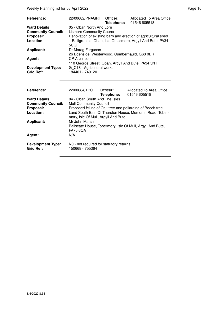| <b>Reference:</b>         | 22/00682/PNAGRI                                    | Officer: | Allocated To Area Office<br>Telephone: 01546 605518           |
|---------------------------|----------------------------------------------------|----------|---------------------------------------------------------------|
| <b>Ward Details:</b>      | 05 - Oban North And Lorn                           |          |                                                               |
| <b>Community Council:</b> | <b>Lismore Community Council</b>                   |          |                                                               |
| Proposal:                 |                                                    |          | Renovation of existing barn and erection of agricultural shed |
| Location:                 |                                                    |          | 1 Balligrundle, Oban, Isle Of Lismore, Argyll And Bute, PA34  |
|                           | 5UQ                                                |          |                                                               |
| <b>Applicant:</b>         | Dr Morag Ferguson                                  |          |                                                               |
|                           | 26 Edenside, Westerwood, Cumbernauld, G68 0ER      |          |                                                               |
| Agent:                    | <b>CP</b> Architects                               |          |                                                               |
|                           | 110 George Street, Oban, Argyll And Bute, PA34 5NT |          |                                                               |
| <b>Development Type:</b>  | G C18 - Agricultural works                         |          |                                                               |
| <b>Grid Ref:</b>          | 184401 - 740120                                    |          |                                                               |
|                           |                                                    |          |                                                               |
|                           |                                                    |          |                                                               |

| Reference:                                   | 22/00684/TPO                                               | Officer:<br>Telephone: | Allocated To Area Office<br>01546 605518                   |
|----------------------------------------------|------------------------------------------------------------|------------------------|------------------------------------------------------------|
| <b>Ward Details:</b>                         | 04 - Oban South And The Isles                              |                        |                                                            |
| <b>Community Council:</b>                    | <b>Mull Community Council</b>                              |                        |                                                            |
| Proposal:                                    |                                                            |                        | Proposed felling of Oak tree and pollarding of Beech tree  |
| Location:                                    | mory, Isle Of Mull, Argyll And Bute                        |                        | Land South East Of Thurston House, Memorial Road, Tober-   |
| <b>Applicant:</b>                            | Mr John Marsh                                              |                        |                                                            |
|                                              | <b>PA75 6QA</b>                                            |                        | Baliscate House, Tobermory, Isle Of Mull, Argyll And Bute, |
| Agent:                                       | N/A                                                        |                        |                                                            |
| <b>Development Type:</b><br><b>Grid Ref:</b> | N0 - not required for statutory returns<br>150668 - 755364 |                        |                                                            |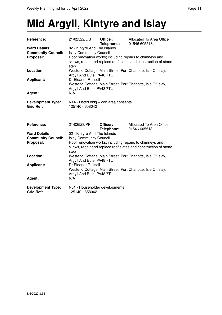## **Mid Argyll, Kintyre and Islay**

| Reference:                | 21/02522/LIB                                    | Officer:<br>Telephone: | Allocated To Area Office<br>01546 605518                        |
|---------------------------|-------------------------------------------------|------------------------|-----------------------------------------------------------------|
| <b>Ward Details:</b>      | 02 - Kintyre And The Islands                    |                        |                                                                 |
| <b>Community Council:</b> | <b>Islay Community Council</b>                  |                        |                                                                 |
| Proposal:                 |                                                 |                        | Roof renovation works; including repairs to chimneys and        |
|                           |                                                 |                        | skews, repair and replace roof slates and construction of stone |
|                           | step                                            |                        |                                                                 |
| Location:                 |                                                 |                        | Westend Cottage, Main Street, Port Charlotte, Isle Of Islay,    |
|                           | Argyll And Bute, PA48 7TL                       |                        |                                                                 |
| <b>Applicant:</b>         | Dr Eleanor Russell                              |                        |                                                                 |
|                           |                                                 |                        | Westend Cottage, Main Street, Port Charlotte, Isle Of Islay,    |
|                           | Argyll And Bute, PA48 7TL                       |                        |                                                                 |
| Agent:                    | N/A                                             |                        |                                                                 |
|                           |                                                 |                        |                                                                 |
| <b>Development Type:</b>  | $N14$ - Listed bldg + con area consents         |                        |                                                                 |
| <b>Grid Ref:</b>          | 125140 - 658042                                 |                        |                                                                 |
|                           |                                                 |                        |                                                                 |
|                           |                                                 |                        |                                                                 |
| Reference:                | 21/02523/PP                                     | Officer:               | Allocated To Area Office                                        |
|                           |                                                 | Telephone:             | 01546 605518                                                    |
| <b>Ward Details:</b>      | 02 - Kintyre And The Islands                    |                        |                                                                 |
| <b>Community Council:</b> | <b>Islay Community Council</b>                  |                        |                                                                 |
| Proposal:                 |                                                 |                        | Roof renovation works; including repairs to chimneys and        |
|                           |                                                 |                        | skews, repair and replace roof slates and construction of stone |
|                           | step                                            |                        |                                                                 |
| Location:                 |                                                 |                        | Westend Cottage, Main Street, Port Charlotte, Isle Of Islay,    |
|                           |                                                 |                        |                                                                 |
|                           |                                                 |                        |                                                                 |
| <b>Applicant:</b>         | Argyll And Bute, PA48 7TL<br>Dr Eleanor Russell |                        |                                                                 |
|                           |                                                 |                        |                                                                 |
|                           |                                                 |                        | Westend Cottage, Main Street, Port Charlotte, Isle Of Islay,    |
|                           | Argyll And Bute, PA48 7TL<br>N/A                |                        |                                                                 |
| Agent:                    |                                                 |                        |                                                                 |
| <b>Development Type:</b>  | N01 - Householder developments                  |                        |                                                                 |
| <b>Grid Ref:</b>          | 125140 - 658042                                 |                        |                                                                 |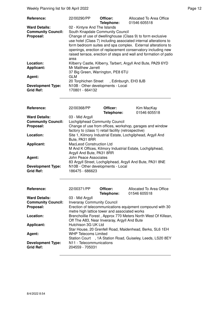| Reference:                                                     | 22/00290/PP                                                                                             | Officer:<br>Telephone: | Allocated To Area Office<br>01546 605518                                                                                                                                                                                                                                                                                            |
|----------------------------------------------------------------|---------------------------------------------------------------------------------------------------------|------------------------|-------------------------------------------------------------------------------------------------------------------------------------------------------------------------------------------------------------------------------------------------------------------------------------------------------------------------------------|
| <b>Ward Details:</b><br><b>Community Council:</b><br>Proposal: | 02 - Kintyre And The Islands<br>South Knapdale Community Council<br>area                                |                        | Change of use of dwellinghouse (Class 9) to form exclusive<br>use hotel (Class 7) including associated internal alterations to<br>form bedroom suites and spa complex. External alterations to<br>openings, erection of replacement conservatory including new<br>raised terrace, erection of steps and wall and formation of patio |
| Location:<br><b>Applicant:</b>                                 | Mr Matthew Jarrett<br>37 Big Green, Warrington, PE8 6TU                                                 |                        | Kilberry Castle, Kilberry, Tarbert, Argyll And Bute, PA29 6YD                                                                                                                                                                                                                                                                       |
| Agent:<br><b>Development Type:</b><br><b>Grid Ref:</b>         | GLM<br>20 Torphichen Street, Edinburgh, EH3 8JB<br>N10B - Other developments - Local<br>170801 - 664132 |                        |                                                                                                                                                                                                                                                                                                                                     |

| <b>Reference:</b>         | 22/00368/PP                                          | Officer:<br>Telephone: | Kim MacKay<br>01546 605518                                  |
|---------------------------|------------------------------------------------------|------------------------|-------------------------------------------------------------|
| <b>Ward Details:</b>      | 03 - Mid Argyll                                      |                        |                                                             |
| <b>Community Council:</b> | Lochgilphead Community Council                       |                        |                                                             |
| Proposal:                 |                                                      |                        | Change of use from offices, workshop, garages and window    |
|                           | factory to (class 1) retail facility (retrospective) |                        |                                                             |
| Location:                 |                                                      |                        | Site 1, Kilmory Industrial Estate, Lochgilphead, Argyll And |
|                           | Bute, PA31 8RR                                       |                        |                                                             |
| <b>Applicant:</b>         | <b>MacLeod Construction Ltd</b>                      |                        |                                                             |
|                           |                                                      |                        | M And K Offices, Kilmory Industrial Estate, Lochgilphead,   |
|                           | Argyll And Bute, PA31 8RR                            |                        |                                                             |
| Agent:                    | John Peace Associates                                |                        |                                                             |
|                           |                                                      |                        | 83 Argyll Street, Lochgilphead, Argyll And Bute, PA31 8NE   |
| <b>Development Type:</b>  | N10B - Other developments - Local                    |                        |                                                             |
| <b>Grid Ref:</b>          | 186475 - 686623                                      |                        |                                                             |
|                           |                                                      |                        |                                                             |

| Reference:                                   | 22/00371/PP                                   | Officer:   | Allocated To Area Office                                      |
|----------------------------------------------|-----------------------------------------------|------------|---------------------------------------------------------------|
|                                              |                                               | Telephone: | 01546 605518                                                  |
| <b>Ward Details:</b>                         | 03 - Mid Argyll                               |            |                                                               |
| <b>Community Council:</b>                    | <b>Inveraray Community Council</b>            |            |                                                               |
| Proposal:                                    | metre high lattice tower and associated works |            | Erection of telecommunications equipment compound with 30     |
| Location:                                    | Off The A83, Near Inveraray, Argyll And Bute  |            | Brenchoillie Forest, Approx 770 Meters North West Of Killean, |
| <b>Applicant:</b>                            | Hutchison 3G UK Ltd                           |            | Star House, 20 Grenfell Road, Maidenhead, Berks, SL6 1EH      |
| Agent:                                       | <b>WHP Telecoms Limited</b>                   |            | Station Court , 1A Station Road, Guiseley, Leeds, LS20 8EY    |
| <b>Development Type:</b><br><b>Grid Ref:</b> | N11 - Telecommunications<br>204559 - 705031   |            |                                                               |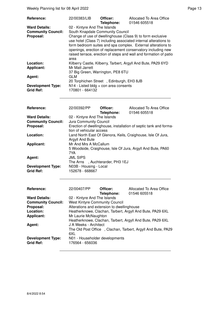Weekly Planning list for 08 April 2022 **Page 13** Page 13

| <b>Reference:</b>                            | 22/00383/LIB                                               | Officer:<br>Telephone: | Allocated To Area Office<br>01546 605518                                                                                                                                                                                                                                                                                            |
|----------------------------------------------|------------------------------------------------------------|------------------------|-------------------------------------------------------------------------------------------------------------------------------------------------------------------------------------------------------------------------------------------------------------------------------------------------------------------------------------|
| <b>Ward Details:</b>                         | 02 - Kintyre And The Islands                               |                        |                                                                                                                                                                                                                                                                                                                                     |
| <b>Community Council:</b>                    | South Knapdale Community Council                           |                        |                                                                                                                                                                                                                                                                                                                                     |
| Proposal:                                    | area                                                       |                        | Change of use of dwellinghouse (Class 9) to form exclusive<br>use hotel (Class 7) including associated internal alterations to<br>form bedroom suites and spa complex. External alterations to<br>openings, erection of replacement conservatory including new<br>raised terrace, erection of steps and wall and formation of patio |
| Location:                                    |                                                            |                        | Kilberry Castle, Kilberry, Tarbert, Argyll And Bute, PA29 6YD                                                                                                                                                                                                                                                                       |
| <b>Applicant:</b>                            | Mr Matt Jarrett                                            |                        |                                                                                                                                                                                                                                                                                                                                     |
|                                              | 37 Big Green, Warrington, PE8 6TU                          |                        |                                                                                                                                                                                                                                                                                                                                     |
| Agent:                                       | GLM<br>20 Torphichen Street, Edinburgh, EH3 8JB            |                        |                                                                                                                                                                                                                                                                                                                                     |
| <b>Development Type:</b><br><b>Grid Ref:</b> | $N14$ - Listed bldg + con area consents<br>170801 - 664132 |                        |                                                                                                                                                                                                                                                                                                                                     |

| Reference:                                   | 22/00392/PP                                        | Officer:<br>Telephone: | Allocated To Area Office<br>01546 605518                          |
|----------------------------------------------|----------------------------------------------------|------------------------|-------------------------------------------------------------------|
| <b>Ward Details:</b>                         | 02 - Kintyre And The Islands                       |                        |                                                                   |
| <b>Community Council:</b>                    | Jura Community Council                             |                        |                                                                   |
| Proposal:                                    | tion of vehicular access                           |                        | Erection of dwellinghouse, installation of septic tank and forma- |
| Location:                                    | Argyll And Bute                                    |                        | Land North East Of Glenora, Keils, Craighouse, Isle Of Jura,      |
| <b>Applicant:</b>                            | Mr And Mrs A McCallum<br>7YA                       |                        | 5 Woodside, Craighouse, Isle Of Jura, Argyll And Bute, PA60       |
| Agent:                                       | <b>JML SIPS</b><br>The Arns, Auchterarder, PH3 1EJ |                        |                                                                   |
| <b>Development Type:</b><br><b>Grid Ref:</b> | N03B - Housing - Local<br>152678 - 668667          |                        |                                                                   |

| Reference:                                   | 22/00407/PP                                       | Officer:<br>Telephone: | Allocated To Area Office<br>01546 605518                     |
|----------------------------------------------|---------------------------------------------------|------------------------|--------------------------------------------------------------|
| <b>Ward Details:</b>                         | 02 - Kintyre And The Islands                      |                        |                                                              |
| <b>Community Council:</b>                    | <b>West Kintyre Community Council</b>             |                        |                                                              |
| Proposal:                                    | Alterations and extension to dwellinghouse        |                        |                                                              |
| Location:                                    |                                                   |                        | Heatherknowe, Clachan, Tarbert, Argyll And Bute, PA29 6XL    |
| <b>Applicant:</b>                            | Mr Laurie McNaughton                              |                        |                                                              |
|                                              |                                                   |                        | Heatherknowe, Clachan, Tarbert, Argyll And Bute, PA29 6XL    |
| Agent:                                       | J A Weeks - Architect                             |                        |                                                              |
|                                              |                                                   |                        | The Old Post Office, Clachan, Tarbert, Argyll And Bute, PA29 |
|                                              | 6XL                                               |                        |                                                              |
| <b>Development Type:</b><br><b>Grid Ref:</b> | N01 - Householder developments<br>176564 - 656036 |                        |                                                              |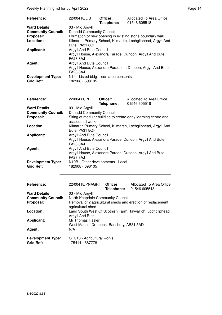Weekly Planning list for 08 April 2022 **Page 14** Page 14

| <b>Reference:</b>                            | 22/00410/LIB                                               | Officer:<br>Telephone: | Allocated To Area Office<br>01546 605518                      |
|----------------------------------------------|------------------------------------------------------------|------------------------|---------------------------------------------------------------|
| <b>Ward Details:</b>                         | 03 - Mid Argyll                                            |                        |                                                               |
| <b>Community Council:</b>                    | <b>Dunadd Community Council</b>                            |                        |                                                               |
| Proposal:                                    |                                                            |                        | Formation of new opening in existing stone boundary wall      |
| Location:                                    |                                                            |                        | Kilmartin Primary School, Kilmartin, Lochgilphead, Argyll And |
|                                              | Bute, PA31 8QF                                             |                        |                                                               |
| <b>Applicant:</b>                            | <b>Argyll And Bute Council</b>                             |                        |                                                               |
|                                              | <b>PA23 8AJ</b>                                            |                        | Argyll House, Alexandra Parade, Dunoon, Argyll And Bute,      |
| Agent:                                       | Argyll And Bute Council                                    |                        |                                                               |
|                                              |                                                            |                        | Argyll House, Alexandra Parade, Dunoon, Argyll And Bute,      |
|                                              | <b>PA23 8AJ</b>                                            |                        |                                                               |
| <b>Development Type:</b><br><b>Grid Ref:</b> | $N14$ - Listed bldg + con area consents<br>182908 - 698105 |                        |                                                               |

| Reference:                | 22/00411/PP                                                                                                   | Officer:<br>Telephone: | Allocated To Area Office<br>01546 605518 |
|---------------------------|---------------------------------------------------------------------------------------------------------------|------------------------|------------------------------------------|
| <b>Ward Details:</b>      | 03 - Mid Argyll                                                                                               |                        |                                          |
| <b>Community Council:</b> | <b>Dunadd Community Council</b>                                                                               |                        |                                          |
| Proposal:                 | Siting of modular building to create early learning centre and<br>associated works                            |                        |                                          |
| Location:                 | Kilmartin Primary School, Kilmartin, Lochgilphead, Argyll And<br>Bute, PA31 8QF                               |                        |                                          |
| <b>Applicant:</b>         | Argyll And Bute Council<br>Argyll House, Alexandra Parade, Dunoon, Argyll And Bute,<br><b>PA23 8AJ</b>        |                        |                                          |
|                           |                                                                                                               |                        |                                          |
| Agent:                    | <b>Argyll And Bute Council</b><br>Argyll House, Alexandra Parade, Dunoon, Argyll And Bute,<br><b>PA23 8AJ</b> |                        |                                          |
|                           |                                                                                                               |                        |                                          |
| <b>Development Type:</b>  | N10B - Other developments - Local                                                                             |                        |                                          |
| <b>Grid Ref:</b>          | 182908 - 698105                                                                                               |                        |                                          |

| Reference:                                   | 22/00418/PNAGRI                                                                  | Officer:<br>Telephone: | Allocated To Area Office<br>01546 605518 |
|----------------------------------------------|----------------------------------------------------------------------------------|------------------------|------------------------------------------|
| <b>Ward Details:</b>                         | 03 - Mid Argyll                                                                  |                        |                                          |
| <b>Community Council:</b>                    | North Knapdale Community Council                                                 |                        |                                          |
| Proposal:                                    | Removal of 2 agricultural sheds and erection of replacement<br>agricultural shed |                        |                                          |
| Location:                                    | Land South West Of Scotnish Farm, Tayvallich, Lochgilphead,<br>Argyll And Bute   |                        |                                          |
| Applicant:                                   | Mr Thomas Hasler<br>West Manse, Drumoak, Banchory, AB31 5AD                      |                        |                                          |
| Agent:                                       | N/A                                                                              |                        |                                          |
| <b>Development Type:</b><br><b>Grid Ref:</b> | G C18 - Agricultural works<br>175414 - 687778                                    |                        |                                          |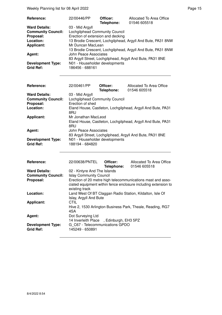Weekly Planning list for 08 April 2022 **Page 15** Neekly Planning list for 08 April 2022

| Reference:                                   | 22/00446/PP                                                                        | Officer:<br>Telephone: | Allocated To Area Office<br>01546 605518 |
|----------------------------------------------|------------------------------------------------------------------------------------|------------------------|------------------------------------------|
| <b>Ward Details:</b>                         | 03 - Mid Argyll                                                                    |                        |                                          |
| <b>Community Council:</b>                    | Lochgilphead Community Council                                                     |                        |                                          |
| Proposal:                                    | Erection of extension and decking                                                  |                        |                                          |
| Location:                                    | 13 Brodie Crescent, Lochgilphead, Argyll And Bute, PA31 8NW                        |                        |                                          |
| <b>Applicant:</b>                            | Mr Duncan MacLean<br>13 Brodie Crescent, Lochgilphead, Argyll And Bute, PA31 8NW   |                        |                                          |
|                                              |                                                                                    |                        |                                          |
| Agent:                                       | John Peace Associates<br>83 Argyll Street, Lochgilphead, Argyll And Bute, PA31 8NE |                        |                                          |
|                                              |                                                                                    |                        |                                          |
| <b>Development Type:</b><br><b>Grid Ref:</b> | N01 - Householder developments<br>186456 - 688161                                  |                        |                                          |

| <b>Reference:</b>                            | 22/00461/PP                                                                               | Officer:<br>Telephone: | Allocated To Area Office<br>01546 605518 |  |
|----------------------------------------------|-------------------------------------------------------------------------------------------|------------------------|------------------------------------------|--|
| <b>Ward Details:</b>                         | 03 - Mid Argyll                                                                           |                        |                                          |  |
| <b>Community Council:</b>                    | Lochgilphead Community Council                                                            |                        |                                          |  |
| Proposal:                                    | Erection of shed                                                                          |                        |                                          |  |
| Location:                                    | Eland House, Castleton, Lochgilphead, Argyll And Bute, PA31<br>8RU                        |                        |                                          |  |
| <b>Applicant:</b>                            | Mr Jonathan MacLeod<br>Eland House, Castleton, Lochgilphead, Argyll And Bute, PA31<br>8RU |                        |                                          |  |
| Agent:                                       | John Peace Associates<br>83 Argyll Street, Lochgilphead, Argyll And Bute, PA31 8NE        |                        |                                          |  |
| <b>Development Type:</b><br><b>Grid Ref:</b> | N01 - Householder developments<br>188194 - 684820                                         |                        |                                          |  |

| Reference:                                   | 22/00638/PNTEL                                                                                                                                  | Officer:<br>Telephone: | Allocated To Area Office<br>01546 605518                   |
|----------------------------------------------|-------------------------------------------------------------------------------------------------------------------------------------------------|------------------------|------------------------------------------------------------|
| <b>Ward Details:</b>                         | 02 - Kintyre And The Islands                                                                                                                    |                        |                                                            |
| <b>Community Council:</b>                    | <b>Islay Community Council</b>                                                                                                                  |                        |                                                            |
| Proposal:                                    | Erection of 20 metre high telecommunications mast and asso-<br>ciated equipment within fence enclosure including extension to<br>existing track |                        |                                                            |
| Location:                                    | Land West Of BT Claggan Radio Station, Kildalton, Isle Of<br>Islay, Argyll And Bute                                                             |                        |                                                            |
| <b>Applicant:</b>                            | <b>CTIL</b><br>4SA                                                                                                                              |                        | Hive 2, 1530 Arlington Business Park, Theale, Reading, RG7 |
| Agent:                                       | Dot Surveying Ltd<br>14 Inverleith Place, Edinburgh, EH3 5PZ                                                                                    |                        |                                                            |
| <b>Development Type:</b><br><b>Grid Ref:</b> | G C67 - Telecommunications GPDO<br>145249 - 650891                                                                                              |                        |                                                            |